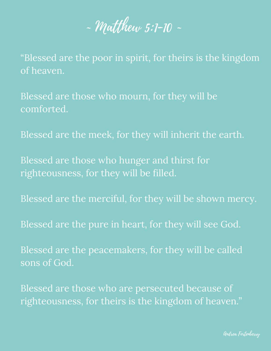~ Matthew 5:1-10 ~

"Blessed are the poor in spirit, for theirs is the kingdom of heaven.

Blessed are those who mourn, for they will be comforted.

Blessed are the meek, for they will inherit the earth.

Blessed are those who hunger and thirst for righteousness, for they will be filled.

Blessed are the merciful, for they will be shown mercy.

Blessed are the pure in heart, for they will see God.

Blessed are the peacemakers, for they will be called sons of God.

Blessed are those who are persecuted because of righteousness, for theirs is the kingdom of heaven."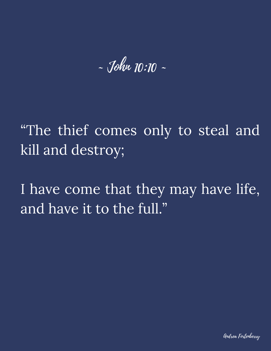~ John 10:10 ~

"The thief comes only to steal and kill and destroy;

I have come that they may have life, and have it to the full."

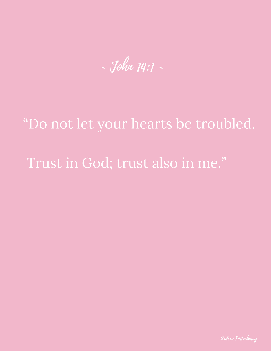~ John 14:1 ~

## "Do not let your hearts be troubled.

#### Trust in God; trust also in me."

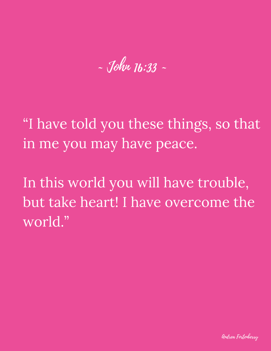- John 16:33 ~

"I have told you these things, so that in me you may have peace.

In this world you will have trouble, but take heart! I have overcome the world."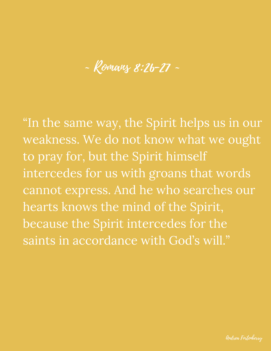~ Romans 8:26-27 ~

"In the same way, the Spirit helps us in our weakness. We do not know what we ought to pray for, but the Spirit himself intercedes for us with groans that words cannot express. And he who searches our hearts knows the mind of the Spirit, because the Spirit intercedes for the saints in accordance with God's will."

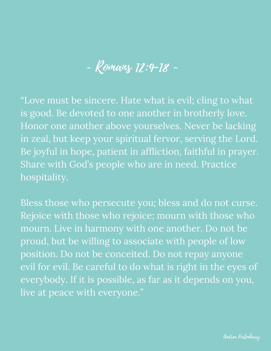#### ~ Romans 12:9-18 ~

"Love must be sincere. Hate what is evil; cling to what is good. Be devoted to one another in brotherly love. Honor one another above yourselves. Never be lacking in zeal, but keep your spiritual fervor, serving the Lord. Be joyful in hope, patient in affliction, faithful in prayer. Share with God's people who are in need. Practice hospitality.

Bless those who persecute you; bless and do not curse. Rejoice with those who rejoice; mourn with those who mourn. Live in harmony with one another. Do not be proud, but be willing to associate with people of low position. Do not be conceited. Do not repay anyone evil for evil. Be careful to do what is right in the eyes of everybody. If it is possible, as far as it depends on you, live at peace with everyone."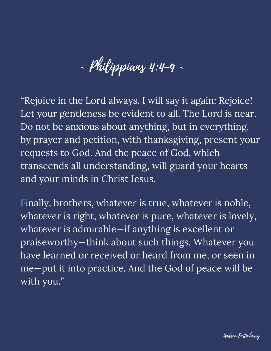~ Philippians 4:4-9 ~

"Rejoice in the Lord always. I will say it again: Rejoice! Let your gentleness be evident to all. The Lord is near. Do not be anxious about anything, but in everything, by prayer and petition, with thanksgiving, present your requests to God. And the peace of God, which transcends all understanding, will guard your hearts and your minds in Christ Jesus.

Finally, brothers, whatever is true, whatever is noble, whatever is right, whatever is pure, whatever is lovely, whatever is admirable—if anything is excellent or praiseworthy—think about such things. Whatever you have learned or received or heard from me, or seen in me—put it into practice. And the God of peace will be with you."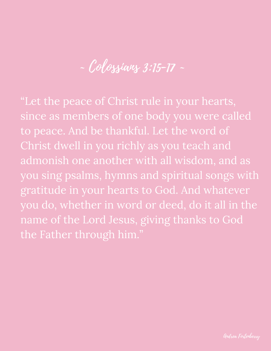~ Colossians 3:15-17 ~

"Let the peace of Christ rule in your hearts, since as members of one body you were called to peace. And be thankful. Let the word of Christ dwell in you richly as you teach and admonish one another with all wisdom, and as you sing psalms, hymns and spiritual songs with gratitude in your hearts to God. And whatever you do, whether in word or deed, do it all in the name of the Lord Jesus, giving thanks to God the Father through him."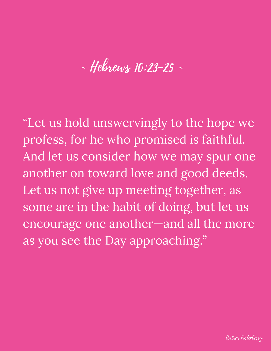# ~ Hebrews 10:23-25 ~

"Let us hold unswervingly to the hope we profess, for he who promised is faithful. And let us consider how we may spur one another on toward love and good deeds. Let us not give up meeting together, as some are in the habit of doing, but let us encourage one another—and all the more as you see the Day approaching."